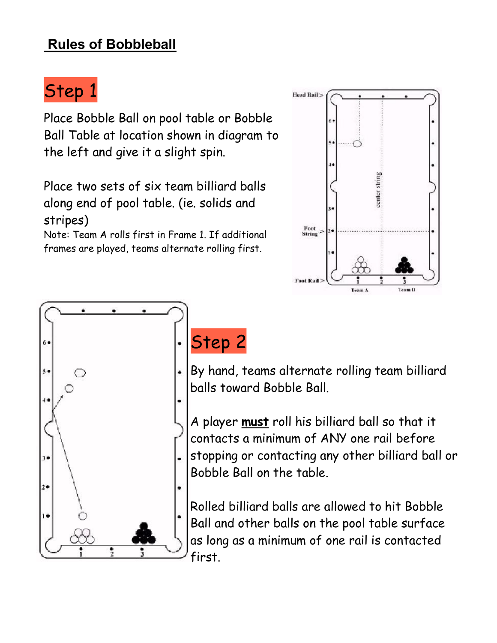#### **Rules of Bobbleball**

# Step 1

Place Bobble Ball on pool table or Bobble Ball Table at location shown in diagram to the left and give it a slight spin.

Place two sets of six team billiard balls along end of pool table. (ie. solids and stripes)

Note: Team A rolls first in Frame 1. If additional frames are played, teams alternate rolling first.





#### Step 2

By hand, teams alternate rolling team billiard balls toward Bobble Ball.

A player **must** roll his billiard ball so that it contacts a minimum of ANY one rail before stopping or contacting any other billiard ball or Bobble Ball on the table.

Rolled billiard balls are allowed to hit Bobble Ball and other balls on the pool table surface as long as a minimum of one rail is contacted first.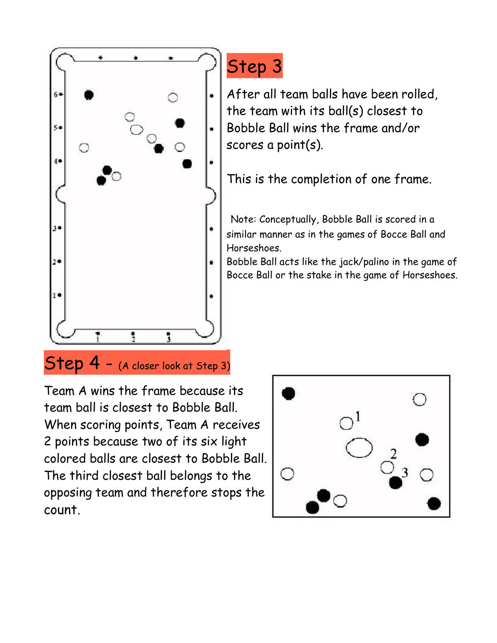

## Step 3

After all team balls have been rolled, the team with its ball(s) closest to Bobble Ball wins the frame and/or scores a point(s).

This is the completion of one frame.

Note: Conceptually, Bobble Ball is scored in a similar manner as in the games of Bocce Ball and Horseshoes.

Bobble Ball acts like the jack/palino in the game of Bocce Ball or the stake in the game of Horseshoes.

#### Step 4 - (A closer look at Step 3)

Team A wins the frame because its team ball is closest to Bobble Ball. When scoring points, Team A receives 2 points because two of its six light colored balls are closest to Bobble Ball. The third closest ball belongs to the opposing team and therefore stops the count.

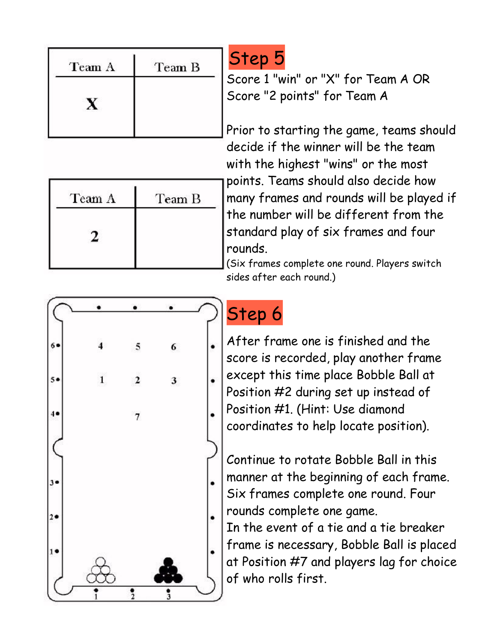| Team B |
|--------|
|        |
|        |

| Team A | Team B |
|--------|--------|
|        |        |
|        |        |

## Step 5

Score 1 "win" or "X" for Team A OR Score "2 points" for Team A

Prior to starting the game, teams should decide if the winner will be the team with the highest "wins" or the most points. Teams should also decide how many frames and rounds will be played if the number will be different from the standard play of six frames and four rounds.

(Six frames complete one round. Players switch sides after each round.)



# Step 6

After frame one is finished and the score is recorded, play another frame except this time place Bobble Ball at Position #2 during set up instead of Position #1. (Hint: Use diamond coordinates to help locate position).

Continue to rotate Bobble Ball in this manner at the beginning of each frame. Six frames complete one round. Four rounds complete one game.

In the event of a tie and a tie breaker frame is necessary, Bobble Ball is placed at Position #7 and players lag for choice of who rolls first.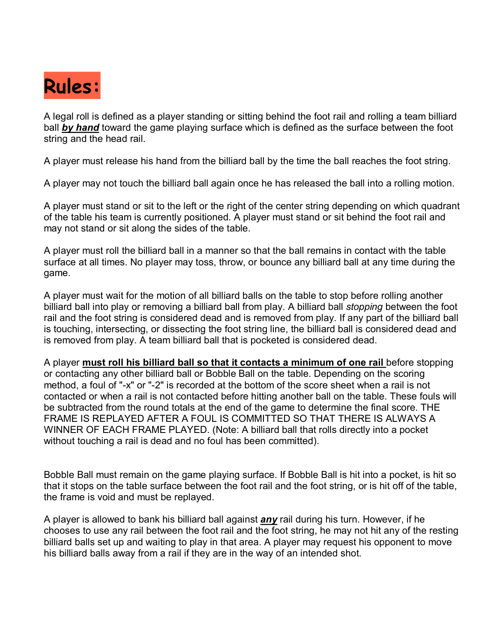

A legal roll is defined as a player standing or sitting behind the foot rail and rolling a team billiard ball *by hand* toward the game playing surface which is defined as the surface between the foot string and the head rail.

A player must release his hand from the billiard ball by the time the ball reaches the foot string.

A player may not touch the billiard ball again once he has released the ball into a rolling motion.

A player must stand or sit to the left or the right of the center string depending on which quadrant of the table his team is currently positioned. A player must stand or sit behind the foot rail and may not stand or sit along the sides of the table.

A player must roll the billiard ball in a manner so that the ball remains in contact with the table surface at all times. No player may toss, throw, or bounce any billiard ball at any time during the game.

A player must wait for the motion of all billiard balls on the table to stop before rolling another billiard ball into play or removing a billiard ball from play. A billiard ball *stopping* between the foot rail and the foot string is considered dead and is removed from play. If any part of the billiard ball is touching, intersecting, or dissecting the foot string line, the billiard ball is considered dead and is removed from play. A team billiard ball that is pocketed is considered dead.

A player **must roll his billiard ball so that it contacts a minimum of one rail** before stopping or contacting any other billiard ball or Bobble Ball on the table. Depending on the scoring method, a foul of "-x" or "-2" is recorded at the bottom of the score sheet when a rail is not contacted or when a rail is not contacted before hitting another ball on the table. These fouls will be subtracted from the round totals at the end of the game to determine the final score. THE FRAME IS REPLAYED AFTER A FOUL IS COMMITTED SO THAT THERE IS ALWAYS A WINNER OF EACH FRAME PLAYED. (Note: A billiard ball that rolls directly into a pocket without touching a rail is dead and no foul has been committed).

Bobble Ball must remain on the game playing surface. If Bobble Ball is hit into a pocket, is hit so that it stops on the table surface between the foot rail and the foot string, or is hit off of the table, the frame is void and must be replayed.

A player is allowed to bank his billiard ball against *any* rail during his turn. However, if he chooses to use any rail between the foot rail and the foot string, he may not hit any of the resting billiard balls set up and waiting to play in that area. A player may request his opponent to move his billiard balls away from a rail if they are in the way of an intended shot.